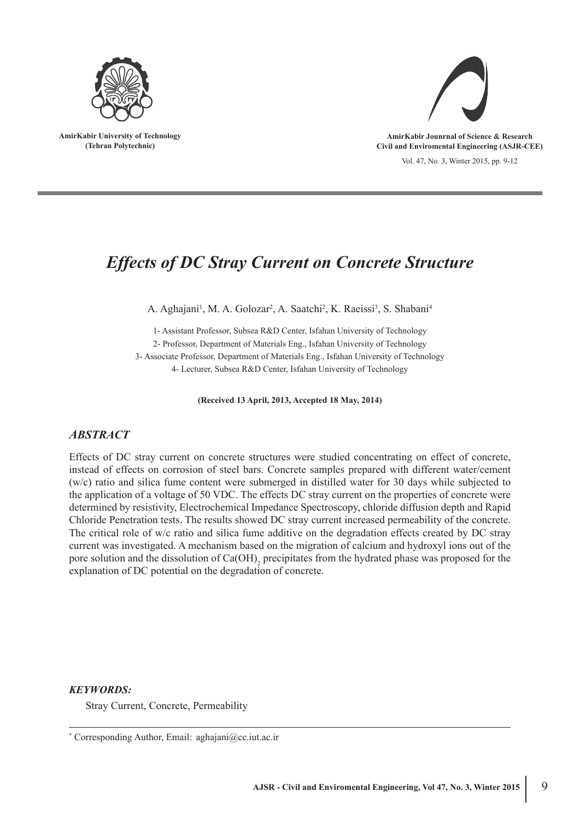

**AmirKabir University of Technology (Tehran Polytechnic)**



**AmirKabir Jounrnal of Science & Research Civil and Enviromental Engineering (ASJR-CEE)**

Vol. 47, No. 3, Winter 2015, pp. 9-12

# *Effects of DC Stray Current on Concrete Structure*

A. Aghajani<sup>1</sup>, M. A. Golozar<sup>2</sup>, A. Saatchi<sup>2</sup>, K. Raeissi<sup>3</sup>, S. Shabani<sup>4</sup>

1- Assistant Professor, Subsea R&D Center, Isfahan University of Technology 2- Professor, Department of Materials Eng., Isfahan University of Technology 3- Associate Professor, Department of Materials Eng., Isfahan University of Technology 4- Lecturer, Subsea R&D Center, Isfahan University of Technology

**(Received 13 April, 2013, Accepted 18 May, 2014)**

# *ABSTRACT*

Effects of DC stray current on concrete structures were studied concentrating on effect of concrete, instead of effects on corrosion of steel bars. Concrete samples prepared with different water/cement (w/c) ratio and silica fume content were submerged in distilled water for 30 days while subjected to the application of a voltage of 50 VDC. The effects DC stray current on the properties of concrete were determined by resistivity, Electrochemical Impedance Spectroscopy, chloride diffusion depth and Rapid Chloride Penetration tests. The results showed DC stray current increased permeability of the concrete. The critical role of w/c ratio and silica fume additive on the degradation effects created by DC stray current was investigated. A mechanism based on the migration of calcium and hydroxyl ions out of the pore solution and the dissolution of  $Ca(OH)_{2}$  precipitates from the hydrated phase was proposed for the explanation of DC potential on the degradation of concrete.

# *KEYWORDS:*

Stray Current, Concrete, Permeability

<sup>\*</sup> Corresponding Author, Email: aghajani@cc.iut.ac.ir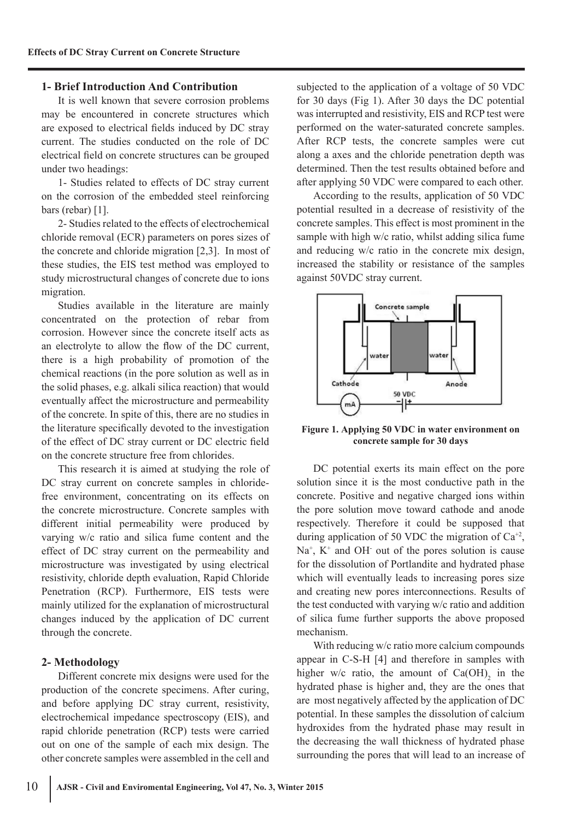## **1- Brief Introduction And Contribution**

It is well known that severe corrosion problems may be encountered in concrete structures which are exposed to electrical fields induced by DC stray current. The studies conducted on the role of DC electrical field on concrete structures can be grouped under two headings:

1- Studies related to effects of DC stray current on the corrosion of the embedded steel reinforcing bars (rebar) [1].

2- Studies related to the effects of electrochemical chloride removal (ECR) parameters on pores sizes of the concrete and chloride migration [2,3]. In most of these studies, the EIS test method was employed to study microstructural changes of concrete due to ions migration.

Studies available in the literature are mainly concentrated on the protection of rebar from corrosion. However since the concrete itself acts as an electrolyte to allow the flow of the DC current, there is a high probability of promotion of the chemical reactions (in the pore solution as well as in the solid phases, e.g. alkali silica reaction) that would eventually affect the microstructure and permeability of the concrete. In spite of this, there are no studies in the literature specifically devoted to the investigation of the effect of DC stray current or DC electric field on the concrete structure free from chlorides.

This research it is aimed at studying the role of DC stray current on concrete samples in chloridefree environment, concentrating on its effects on the concrete microstructure. Concrete samples with different initial permeability were produced by varying w/c ratio and silica fume content and the effect of DC stray current on the permeability and microstructure was investigated by using electrical resistivity, chloride depth evaluation, Rapid Chloride Penetration (RCP). Furthermore, EIS tests were mainly utilized for the explanation of microstructural changes induced by the application of DC current through the concrete.

## **2- Methodology**

Different concrete mix designs were used for the production of the concrete specimens. After curing, and before applying DC stray current, resistivity, electrochemical impedance spectroscopy (EIS), and rapid chloride penetration (RCP) tests were carried out on one of the sample of each mix design. The other concrete samples were assembled in the cell and

subjected to the application of a voltage of 50 VDC for 30 days (Fig 1). After 30 days the DC potential was interrupted and resistivity, EIS and RCP test were performed on the water-saturated concrete samples. After RCP tests, the concrete samples were cut along a axes and the chloride penetration depth was determined. Then the test results obtained before and after applying 50 VDC were compared to each other.

According to the results, application of 50 VDC potential resulted in a decrease of resistivity of the concrete samples. This effect is most prominent in the sample with high w/c ratio, whilst adding silica fume and reducing w/c ratio in the concrete mix design, increased the stability or resistance of the samples against 50VDC stray current.



**Figure 1. Applying 50 VDC in water environment on concrete sample for 30 days**

DC potential exerts its main effect on the pore solution since it is the most conductive path in the concrete. Positive and negative charged ions within the pore solution move toward cathode and anode respectively. Therefore it could be supposed that during application of 50 VDC the migration of  $Ca^{+2}$ ,  $Na<sup>+</sup>$ ,  $K<sup>+</sup>$  and OH out of the pores solution is cause for the dissolution of Portlandite and hydrated phase which will eventually leads to increasing pores size and creating new pores interconnections. Results of the test conducted with varying w/c ratio and addition of silica fume further supports the above proposed mechanism.

With reducing w/c ratio more calcium compounds appear in C-S-H [4] and therefore in samples with higher w/c ratio, the amount of  $Ca(OH)$ <sub>2</sub> in the hydrated phase is higher and, they are the ones that are most negatively affected by the application of DC potential. In these samples the dissolution of calcium hydroxides from the hydrated phase may result in the decreasing the wall thickness of hydrated phase surrounding the pores that will lead to an increase of